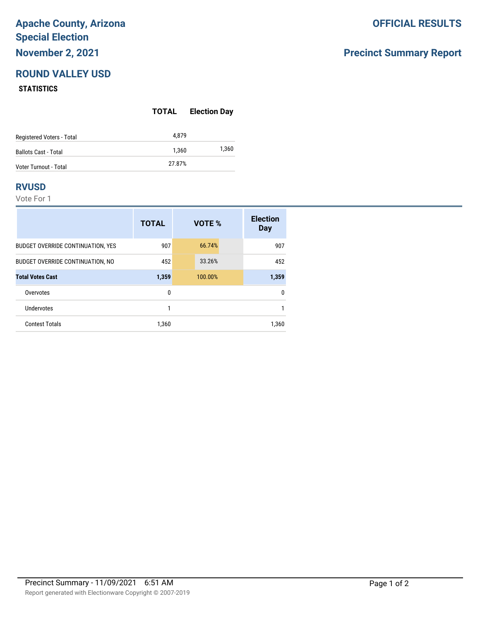# **Apache County, Arizona Special Election November 2, 2021**

# **ROUND VALLEY USD**

#### **STATISTICS**

|                              | TOTAL  | <b>Election Day</b> |
|------------------------------|--------|---------------------|
| Registered Voters - Total    | 4.879  |                     |
| <b>Ballots Cast - Total</b>  | 1.360  | 1,360               |
| <b>Voter Turnout - Total</b> | 27.87% |                     |

### **RVUSD**

Vote For 1

|                                          | <b>TOTAL</b> | VOTE %  | <b>Election</b><br>Day |
|------------------------------------------|--------------|---------|------------------------|
| <b>BUDGET OVERRIDE CONTINUATION, YES</b> | 907          | 66.74%  | 907                    |
| BUDGET OVERRIDE CONTINUATION, NO         | 452          | 33.26%  | 452                    |
| <b>Total Votes Cast</b>                  | 1,359        | 100.00% | 1,359                  |
| Overvotes                                | 0            |         | $\mathbf{0}$           |
| <b>Undervotes</b>                        | 1            |         |                        |
| <b>Contest Totals</b>                    | 1.360        |         | 1,360                  |

### **OFFICIAL RESULTS**

## **Precinct Summary Report**